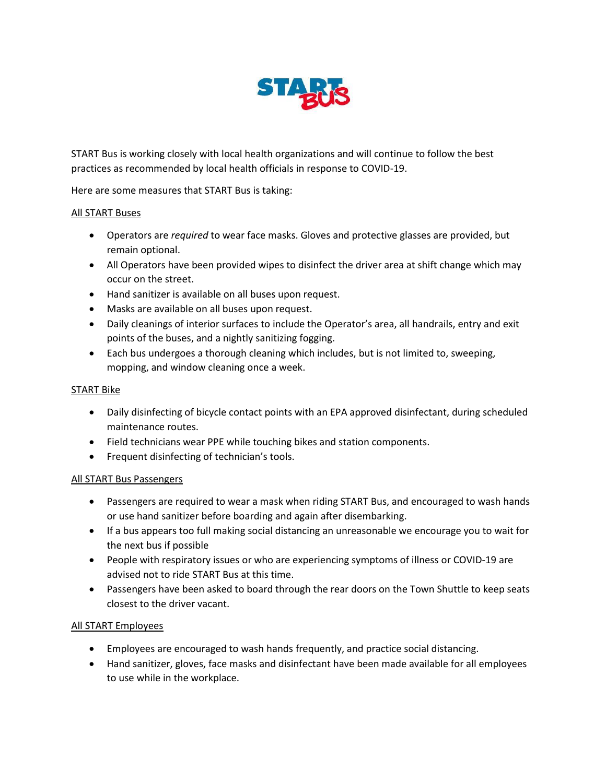

START Bus is working closely with local health organizations and will continue to follow the best practices as recommended by local health officials in response to COVID-19.

Here are some measures that START Bus is taking:

## All START Buses

- Operators are *required* to wear face masks. Gloves and protective glasses are provided, but remain optional.
- All Operators have been provided wipes to disinfect the driver area at shift change which may occur on the street.
- Hand sanitizer is available on all buses upon request.
- Masks are available on all buses upon request.
- Daily cleanings of interior surfaces to include the Operator's area, all handrails, entry and exit points of the buses, and a nightly sanitizing fogging.
- Each bus undergoes a thorough cleaning which includes, but is not limited to, sweeping, mopping, and window cleaning once a week.

## START Bike

- Daily disinfecting of bicycle contact points with an EPA approved disinfectant, during scheduled maintenance routes.
- Field technicians wear PPE while touching bikes and station components.
- Frequent disinfecting of technician's tools.

## All START Bus Passengers

- Passengers are required to wear a mask when riding START Bus, and encouraged to wash hands or use hand sanitizer before boarding and again after disembarking.
- If a bus appears too full making social distancing an unreasonable we encourage you to wait for the next bus if possible
- People with respiratory issues or who are experiencing symptoms of illness or COVID-19 are advised not to ride START Bus at this time.
- Passengers have been asked to board through the rear doors on the Town Shuttle to keep seats closest to the driver vacant.

## All START Employees

- Employees are encouraged to wash hands frequently, and practice social distancing.
- Hand sanitizer, gloves, face masks and disinfectant have been made available for all employees to use while in the workplace.